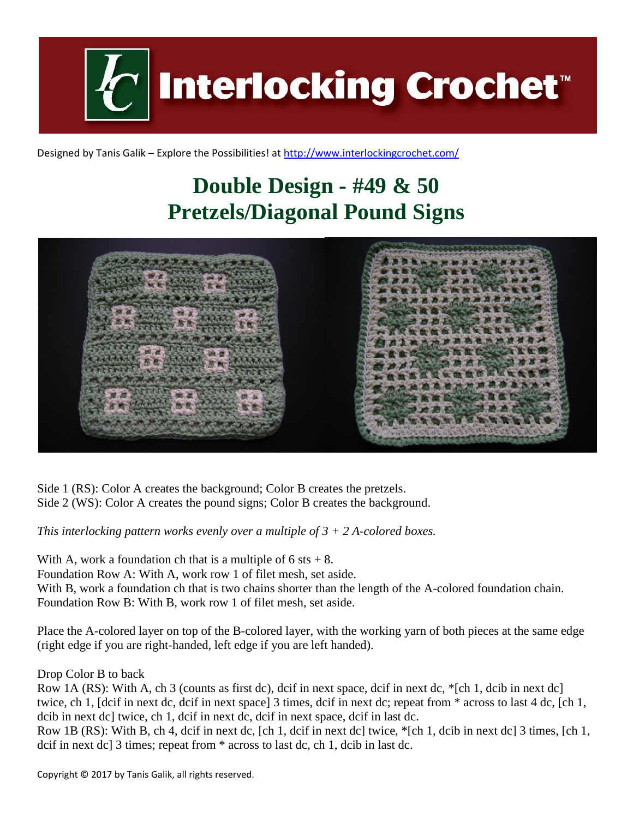

Designed by Tanis Galik – Explore the Possibilities! a[t http://www.interlockingcrochet.com/](http://www.interlockingcrochet.com/)

# **Double Design - #49 & 50 Pretzels/Diagonal Pound Signs**



Side 1 (RS): Color A creates the background; Color B creates the pretzels. Side 2 (WS): Color A creates the pound signs; Color B creates the background.

*This interlocking pattern works evenly over a multiple of 3 + 2 A-colored boxes.*

With A, work a foundation ch that is a multiple of  $6$  sts  $+ 8$ .

Foundation Row A: With A, work row 1 of filet mesh, set aside.

With B, work a foundation ch that is two chains shorter than the length of the A-colored foundation chain.

Foundation Row B: With B, work row 1 of filet mesh, set aside.

Place the A-colored layer on top of the B-colored layer, with the working yarn of both pieces at the same edge (right edge if you are right-handed, left edge if you are left handed).

Drop Color B to back

Row 1A (RS): With A, ch 3 (counts as first dc), dcif in next space, dcif in next dc, \*[ch 1, dcib in next dc] twice, ch 1, [dcif in next dc, dcif in next space] 3 times, dcif in next dc; repeat from \* across to last 4 dc, [ch 1, dcib in next dc] twice, ch 1, dcif in next dc, dcif in next space, dcif in last dc.

Row 1B (RS): With B, ch 4, dcif in next dc, [ch 1, dcif in next dc] twice, \*[ch 1, dcib in next dc] 3 times, [ch 1, dcif in next dc] 3 times; repeat from \* across to last dc, ch 1, dcib in last dc.

Copyright © 2017 by Tanis Galik, all rights reserved.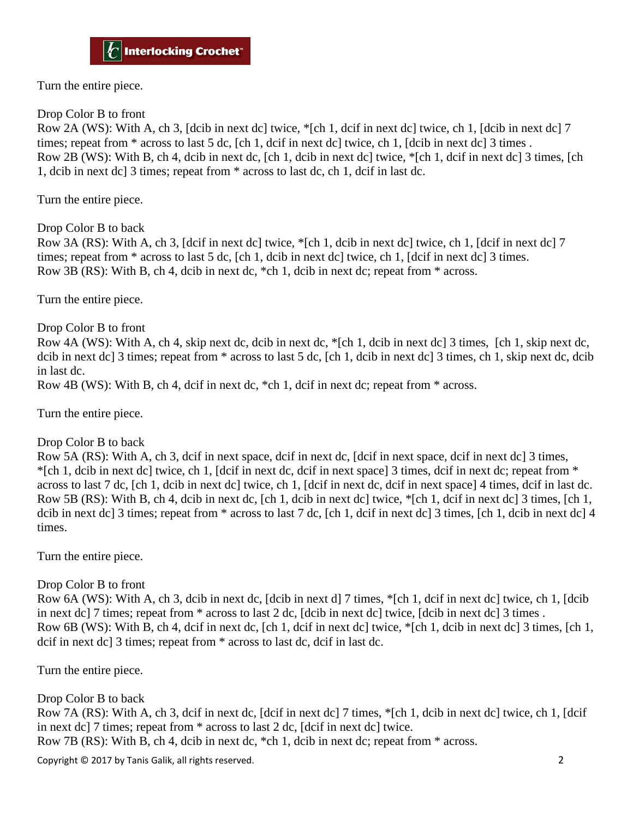Turn the entire piece.

#### Drop Color B to front

Row 2A (WS): With A, ch 3, [dcib in next dc] twice, \*[ch 1, dcif in next dc] twice, ch 1, [dcib in next dc] 7 times; repeat from \* across to last 5 dc, [ch 1, dcif in next dc] twice, ch 1, [dcib in next dc] 3 times . Row 2B (WS): With B, ch 4, dcib in next dc, [ch 1, dcib in next dc] twice, \*[ch 1, dcif in next dc] 3 times, [ch 1, dcib in next dc] 3 times; repeat from \* across to last dc, ch 1, dcif in last dc.

Turn the entire piece.

Drop Color B to back

Row 3A (RS): With A, ch 3, [dcif in next dc] twice, \*[ch 1, dcib in next dc] twice, ch 1, [dcif in next dc] 7 times; repeat from \* across to last 5 dc, [ch 1, dcib in next dc] twice, ch 1, [dcif in next dc] 3 times. Row 3B (RS): With B, ch 4, dcib in next dc, \*ch 1, dcib in next dc; repeat from \* across.

Turn the entire piece.

Drop Color B to front

Row 4A (WS): With A, ch 4, skip next dc, dcib in next dc, \*[ch 1, dcib in next dc] 3 times, [ch 1, skip next dc, dcib in next dc] 3 times; repeat from \* across to last 5 dc, [ch 1, dcib in next dc] 3 times, ch 1, skip next dc, dcib in last dc.

Row 4B (WS): With B, ch 4, dcif in next dc, \*ch 1, dcif in next dc; repeat from \* across.

Turn the entire piece.

#### Drop Color B to back

Row 5A (RS): With A, ch 3, dcif in next space, dcif in next dc, [dcif in next space, dcif in next dc] 3 times, \*[ch 1, dcib in next dc] twice, ch 1, [dcif in next dc, dcif in next space] 3 times, dcif in next dc; repeat from \* across to last 7 dc, [ch 1, dcib in next dc] twice, ch 1, [dcif in next dc, dcif in next space] 4 times, dcif in last dc. Row 5B (RS): With B, ch 4, dcib in next dc, [ch 1, dcib in next dc] twice, \*[ch 1, dcif in next dc] 3 times, [ch 1, dcib in next dc] 3 times; repeat from  $*$  across to last 7 dc, [ch 1, dcif in next dc] 3 times, [ch 1, dcib in next dc] 4 times.

Turn the entire piece.

### Drop Color B to front

Row 6A (WS): With A, ch 3, dcib in next dc, [dcib in next d] 7 times, \*[ch 1, dcif in next dc] twice, ch 1, [dcib in next dc] 7 times; repeat from \* across to last 2 dc, [dcib in next dc] twice, [dcib in next dc] 3 times . Row 6B (WS): With B, ch 4, dcif in next dc, [ch 1, dcif in next dc] twice, \*[ch 1, dcib in next dc] 3 times, [ch 1, dcif in next dc] 3 times; repeat from \* across to last dc, dcif in last dc.

Turn the entire piece.

### Drop Color B to back

Row 7A (RS): With A, ch 3, dcif in next dc, [dcif in next dc] 7 times, \*[ch 1, dcib in next dc] twice, ch 1, [dcif in next dc] 7 times; repeat from \* across to last 2 dc, [dcif in next dc] twice.

Row 7B (RS): With B, ch 4, dcib in next dc, \*ch 1, dcib in next dc; repeat from \* across.

Copyright © 2017 by Tanis Galik, all rights reserved. 2